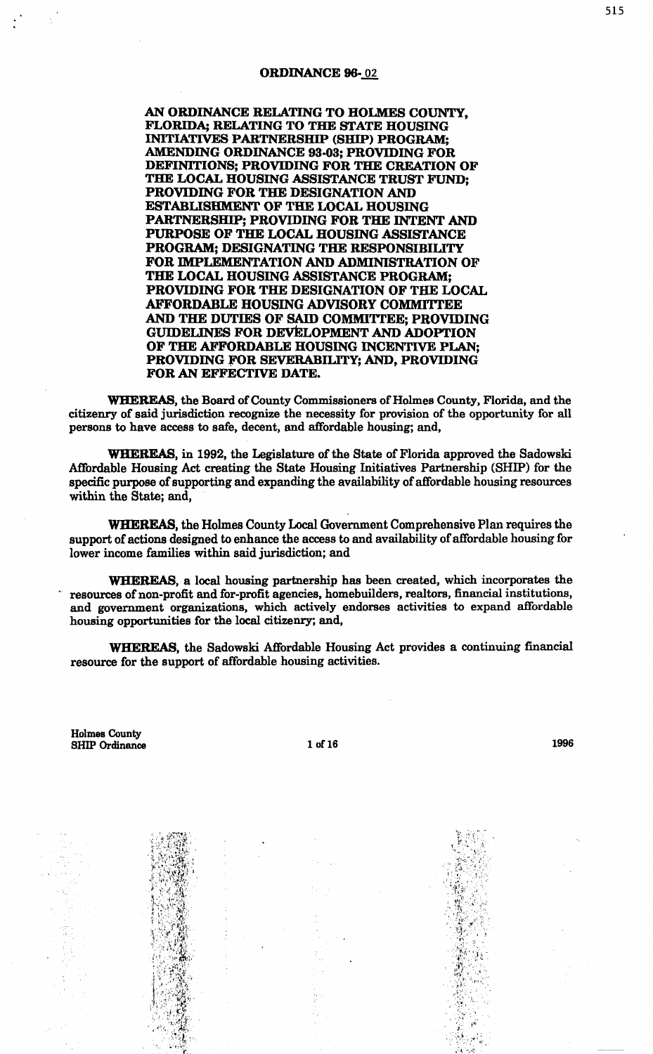#### ORDINANCE 96-02

AN ORDINANCE RELATING TO HOLMES COUNTY, FLORIDA; RELATING TO THE STATE HOUSING INITIATIVES PARTNERSHIP (SHIP) PROGRAM; AMENDING ORDINANCE 93-03; PROVIDING FOR DEFINITIONS; PROVIDING FOR THE CREATION OF THE LOCAL HOUSING ASSISTANCE TRUST FUND; PROVIDING FOR THE DESIGNATION AND ESTABLISHMENT OF THE LOCAL HOUSING PARTNERSHIP; PROVIDING FOR THE INTENT AND PURPOSE OF THE LOCAL HOUSING ASSISTANCE PROGRAM; DESIGNATING THE RESPONSIBILITY FOR IMPLEMENTATION AND ADMINISTRATION OF THE LOCAL HOUSING ASSISTANCE PROGRAM; PROVIDING FOR THE DESIGNATION OF THE LOCAL AFFORDABLE HOUSING ADVISORY COMMITTEE AND THE DUTIES OF SAID COMMITTEE; PROVIDING GUIDELINES FOR DEVELOPMENT AND ADOPTION OF THE AFFORDABLE HOUSING INCENTIVE PLAN; PROVIDING fOR SEVERABILITY; AND, PROVIDING FOR AN EFFECTIVE DATE.

WHEREAS, the Board of County Commissioners of Holmes County, Florida, and the citizenry of said jurisdiction recognize the necessity for provision of the opportunity for all persons to have access to safe, decent, and affordable housing; and,

WHEREAS, in 1992, the Legislature of the State of Florida approved the Sadowski Affordable Housing Act creating the State Housing Initiatives Partnership (SHIP) for the specific purpose of supporting and expandihg the availability of affordable housing resources within the State; and,

WHEREAS, the Holmes County Local Government Comprehensive Plan requires the support of actions designed to enhance the access to and availability of affordable housing for lower income families within said jurisdiction; and

WHEREAS, a local housing partnership has been created, which incorporates the resources of non-profit and for-profit agencies, homebuilders, realtors, financial institutions, and government organizations, which actively endorses activities to expand affordable housing opportunities for the local citizenry; and,

WHEREAS, the Sadowski Affordable Housing Act provides a continuing financial resource for the support of affordable housing activities.

Holmes County SHIP Ordinance 1 of 16 16 1996

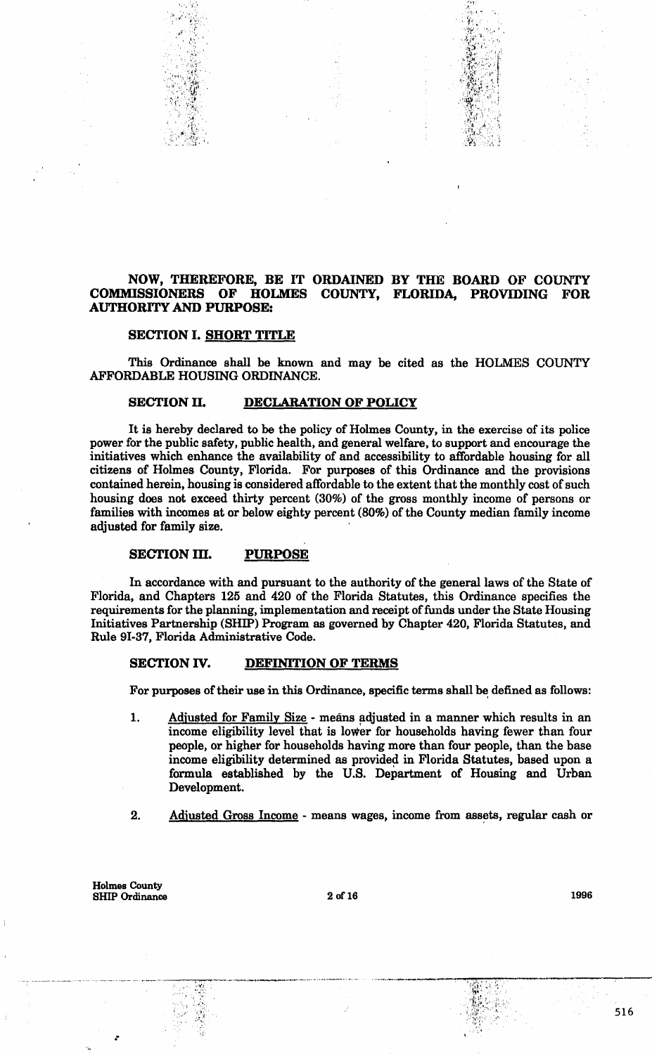## NOW, THEREFORE, BE IT ORDAINED BY THE BOARD OF COUNTY COMMISSIONERS OF HOLMES COUNTY, FLORIDA, PROVIDING FOR AUTHORITY AND PURPOSE:

 $\sim$   $T_{\rm{tot}}$ 

·"' J. ', S):..i. ,,,:

#### SECTION I. SHORT TITLE

"'

This Ordinance shall be known and may be cited as the HOLMES COUNTY AFFORDABLE HOUSING ORDINANCE.

## SECTION II. DECLARATION OF POLICY

It is hereby declared to be the policy of Holmes County, in the exercise of its police power for the public safety, public health, and general welfare, to support and encourage the initiatives which enhance the availability of and accessibility to affordable housing for all citizens of Holmes County, Florida. For purposes of this Ordinance and the provisions contained herein, housing is considered affordable to the extent that the monthly cost of such housing does not exceed thirty percent (30%) of the gross monthly income of persons or families with incomes at or below eighty percent (80%) of the County median family income adjusted for family size.

## SECTION III. PURPOSE

In accordance with and pursuant to the authority of the general laws of the State of Florida, and Chapters 125 and 420 of the Florida Statutes, this Ordinance specifies the requirements for the planning, implementation and receipt of funds under the State Housing Initiatives Partnership (SHIP) Program as governed by Chapter 420, Florida Statutes, and Rule 9I-37, Florida Administrative Code.

#### SECTION IV. DEFINITION OF TERMS

For purposes of their use in this Ordinance, specific terms shall be defined as follows:

- 1. Adjusted for Family Size means adjusted in a manner which results in an income eligibility level that is lower for households having fewer than four people, or higher for households having more than four people, than the base income eligibility determined as provided in Florida Statutes, based upon a formula established by the U.S. Department of Housing and Urban Development.
- 2. Adjusted Gross Income means wages, income from assets, regular cash or

Holmes County SHIP Ordinance 2 of 16 2 of 16 1996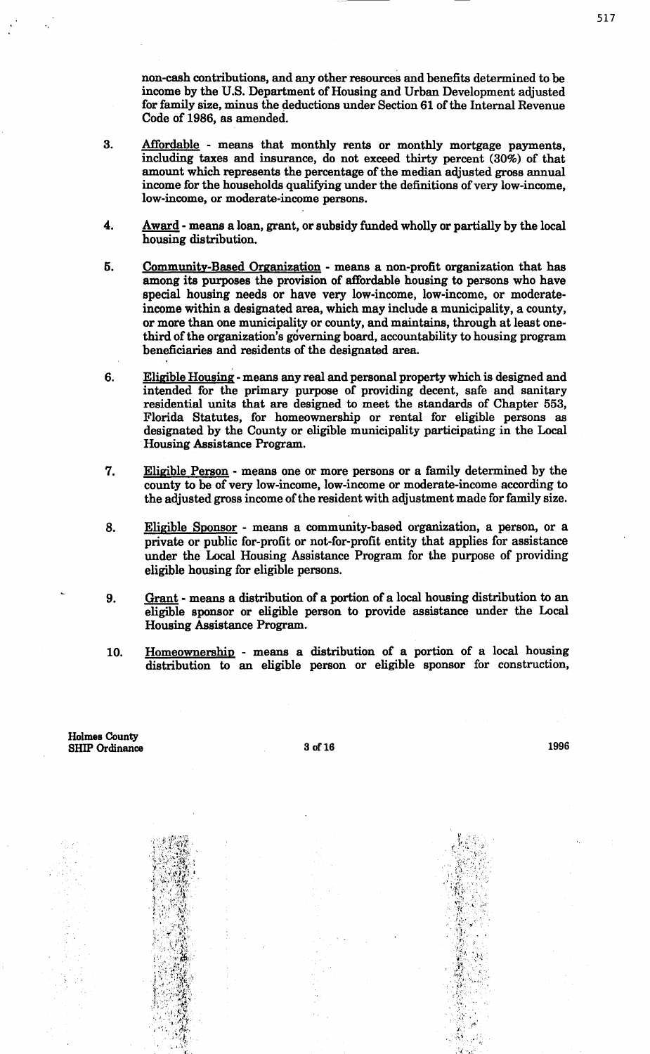non-cash contributions, and any other resources and benefits determined to be income by the U.S. Department of Housing and Urban Development adjusted for family size, minus the deductions under Section 61 of the Internal Revenue Code of 1986, as amended.

- 3. Affordable means that monthly rents or monthly mortgage payments, including taxes and insurance, do not exceed thirty percent  $(30\%)$  of that amount which represents the percentage of the median adjusted gross annual income for the households qualifying under the definitions of very low-income, low-income, or moderate-income persons.
- 4. Award means a loan, grant, or subsidy funded wholly or partially by the local housing distribution.
- 5. Community-Based Organization means a non-profit organization that has among its purposes the provision of affordable housing to persons who have special housing needs or have very low-income, low-income, or moderateincome within a designated area, which may include a municipality, a county, or more than one municipality or county, and maintains, through at least onethird of the organization's governing board, accountability to housing program beneficiaries and residents of the designated area.
- 6. Eligible Housing -means any real and personal property which is designed and intended for the primary purpose of providing decent, safe and sanitary residential units that are designed to meet the standards of Chapter 553, Florida Statutes, for homeownership or rental for eligible persons as designated by the County or eligible municipality participating in the Local Housing Assistance Program.
- 7. Eligible Person means one or more persons or a family determined by the county to be of very low-income, low-income or moderate-income according to the adjusted gross income of the resident with adjustment made for family size.
- 8. Eligible Sponsor means a community-based organization, a person, or a private or public for-profit or not-for-profit entity that applies for assistance under the Local Housing Assistance Program for the purpose of providing eligible housing for eligible persons.
- 9. Grant means a distribution of a portion of a local housing distribution to an eligible sponsor or eligible person to provide assistance under the Local Housing Assistance Program.
- 10. Homeownership means a distribution of a portion of a local housing distribution to an eligible person or eligible sponsor for construction,

Holmes County SHIP Ordinance

> .. '. ~ .,  $\mathbf{r}$  .

 $3 \text{ of } 16$  1996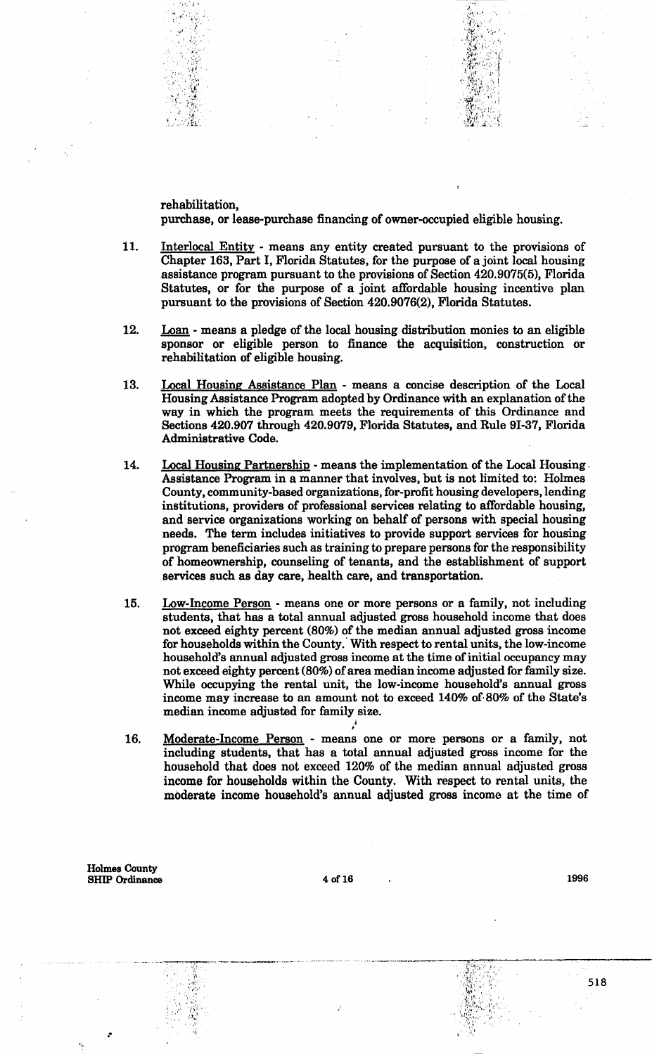rehabilitation, purchase, or lease-purchase financing of owner-occupied eligible housing.

 $\gamma$ ....  $\gamma$   $\lambda$  $-$  ,  $-$  ,  $-$ 

 $\sum_{i=1}^n \sum_{j=1}^n \sum_{j=1}^n \sum_{j=1}^n \sum_{j=1}^n \sum_{j=1}^n \sum_{j=1}^n \sum_{j=1}^n \sum_{j=1}^n \sum_{j=1}^n \sum_{j=1}^n \sum_{j=1}^n \sum_{j=1}^n \sum_{j=1}^n \sum_{j=1}^n \sum_{j=1}^n \sum_{j=1}^n \sum_{j=1}^n \sum_{j=1}^n \sum_{j=1}^n \sum_{j=1}^n \sum_{j=1}^n \sum_{j=1}^n \sum_{j=1}^n \sum_{j$ 

- 11. Interlocal Entity means any entity created pursuant to the provisions of Chapter 163, Part I, Florida Statutes, for the purpose of a joint local housing assistance program pursuant to the provisions of Section 420.9075(5), Florida Statutes, or for the purpose of a joint affordable housing incentive plan pursuant to the provisions of Section 420.9076(2), Florida Statutes.
- 12. Loan means a pledge of the local housing distribution monies to an eligible sponsor or eligible person to finance the acquisition, construction or rehabilitation of eligible housing.
- 13. Local Housing Assistance Plan means a concise description of the Local Housing Assistance Program adopted by Ordinance with an explanation of the way in which the program meets the requirements of this Ordinance and Sections 420.907 through 420.9079, Florida Statutes, and Rule 91-37, Florida Administrative Code.
- 14. Local Housing Partnership means the implementation of the Local Housing. Assistance Program in a manner that involves, but is not limited to: Holmes County, community-based organizations, for-profit housing developers, lending institutions, providers of professional services relating to affordable housing, and service organizations working on behalf of persons with special housing needs. The term includes initiatives to provide support services for housing program beneficiaries such as training to prepare persons for the responsibility of homeownership, counseling of tenants, and the establishment of support services such as day care, health care, and transportation.
- 15. Low-Income Person means one or more persons or a family, not including students, that has a total annual adjusted gross household income that does not exceed eighty percent (80%) of the median annual adjusted gross income for households within the County. With respect to rental units, the low-income household's annual adjusted gross income at the time of initial occupancy may not exceed eighty percent (80%) of area median income adjusted for family size. While occupying the rental unit, the low-income household's annual gross income may increase to an amount not to exceed 140% of· 80% of the State's median income adjusted for family size.
- 16. Moderate-Income Person means one or more persons or a family, not including students, that has a total annual adjusted gross income for the household that does not exceed 120% of the median annual adjusted gross income for households within the County. With respect to rental units, the moderate income household's annual adjusted gross income at the time of

,1

Holmes County SHIP Ordinance 4 of16 1996

-·~-~-- ---~·-··-... ~ ....... - ... ···~·······

~·. '"1\.

.i. ' .... '. ::·:~:.: • ' , •,'.'

.•

518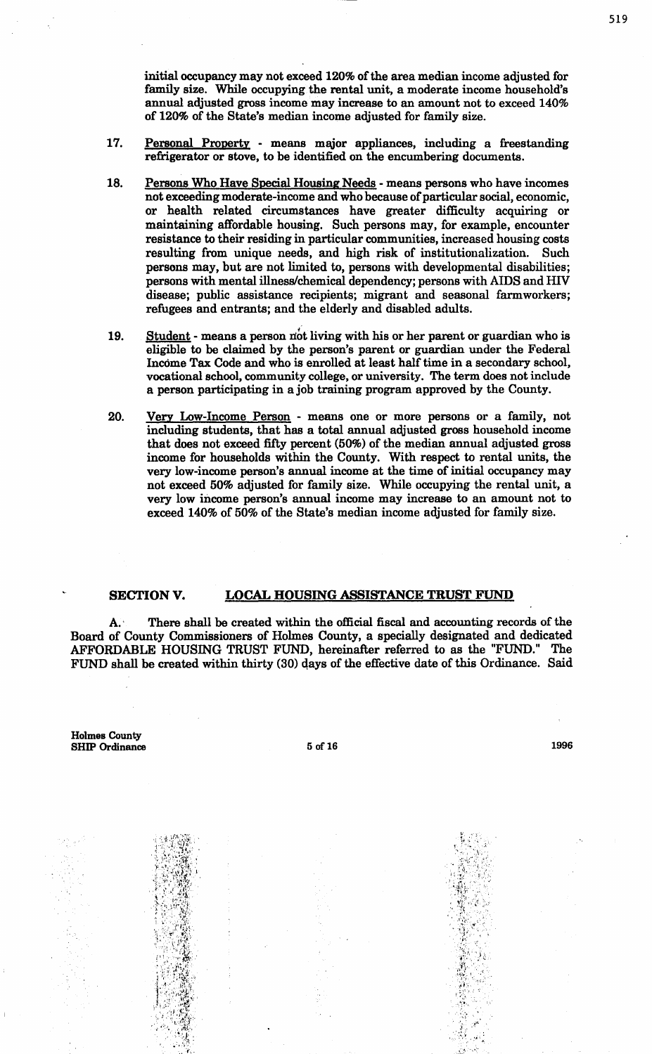- 17. Personal Property means major appliances, including a freestanding refrigerator or stove, to be identified on the encumbering documents.
- 18. Persons Who Have Special Housing Needs means persons who have incomes not exceeding moderate-income and who because of particular social, economic, or health related circumstances have greater difficulty acquiring or maintaining affordable housing. Such persons may, for example, encounter resistance to their residing in particular communities, increased housing costs resulting from unique needs, and high risk of institutionalization. Such persons may, but are not limited to, persons with developmental disabilities; persons with mental illness/chemical dependency; persons with AIDS and HIV disease; public assistance recipients; migrant and seasonal farmworkers; refugees and entrants; and the elderly and disabled adults.
- 19. Student means a person not living with his or her parent or guardian who is eligible to be claimed by the person's parent or guardian under the Federal Income Tax Code and who is enrolled at least half time in a secondary school, vocational school, community college, or university. The term does not include a person participating in a job training program approved by the County.
- 20. Very Low-Income Person means one or more persons or a family, not including students, that has a total annual adjusted gross household income that does not exceed fifty percent (50%) of the median annual adjusted gross income for households within the County. With respect to rental units, the very low-income person's annual income at the time of initial occupancy may not exceed 50% adjusted for family size. While occupying the rental unit, a very low income person's annual income may increase to an amount not to exceed 140% of 50% of the State's median income adjusted for family size.

#### SECTIONV. LOCAL HOUSING ASSISTANCE TRUST FUND

A.· There shall be created within the official fiscal and accounting records of the Board of County Commissioners of Holmes County, a specially designated and dedicated AFFORDABLE HOUSING TRUST FUND, hereinafter referred to as the "FUND." The FUND shall be created within thirty (30) days of the effective date of this Ordinance. Said

Holmes County SHIP Ordinance

> $\sim$   $\cdot$   $\cdot$   $\cdot$ ·.,\_·,. ...

 $5 \text{ of } 16$  1996

 $\sim$   $\sim$   $\sim$   $\sim$ 

 $\cdot \cdot$  .  $\sim$  ,  $\sim$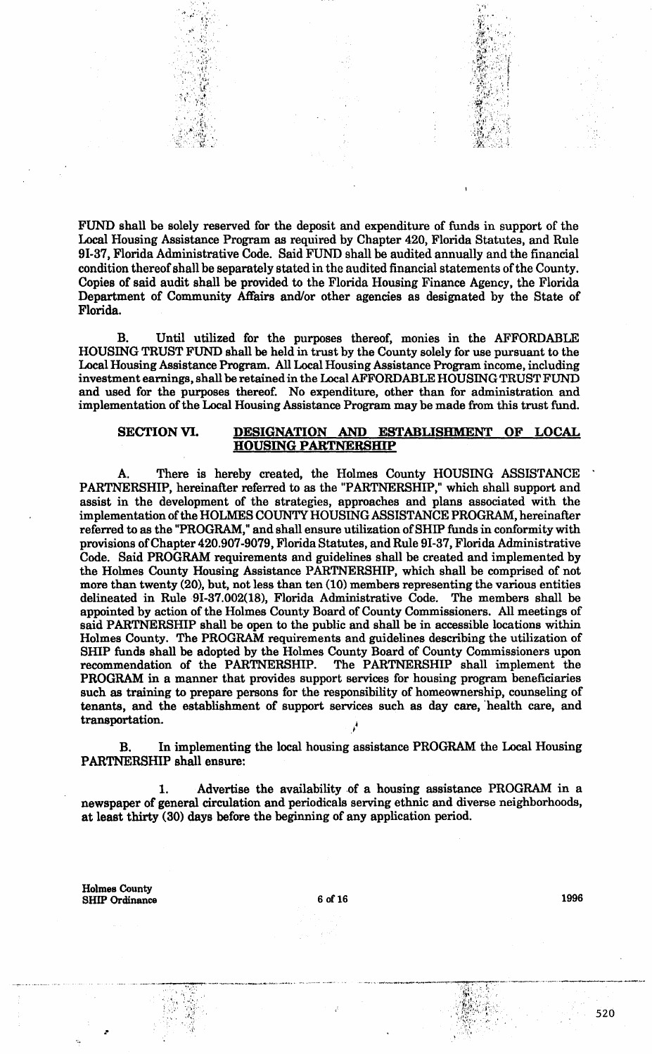FUND shall be solely reserved for the deposit and expenditure of funds in support of the Local Housing Assistance Program as required by Chapter 420, Florida Statutes, and Rule 91-37, Florida Administrative Code. Said FUND shall be audited annually and the financial condition thereof shall be separately stated in the audited financial statements of the County. Copies of said audit shall be provided to the Florida Housing Finance Agency, the Florida Department of Community Affairs and/or other agencies as designated by the State of Florida.

, 'i' is a set of the set of the set of the set of the set of the set of the set of the set of the set of the set of the set of the set of the set of the set of the set of the set of the set of the set of the set of the s

tj•,·I"

·~>···

B. Until utilized for the purposes thereof, monies in the AFFORDABLE HOUSING TRUST FUND shall be held in trust by the County solely for use pursuant to the Local Housing Assistance Program. All Local Housing Assistance Program income, including investment earnings, shall be retained in the Local AFFORDABLE HOUSING TRUST FUND and used for the purposes thereof. No expenditure, other than for administration and implementation of the Local Housing Assistance Program may be made from this trust fund.

### SECTION VI. DESIGNATION AND ESTABLISHMENT OF LOCAL HOUSING PARTNERSHIP

There is hereby created, the Holmes County HOUSING ASSISTANCE PARTNERSHIP, hereinafter referred to as the "PARTNERSHIP," which shall support and assist in the development of the strategies, approaches and plans associated with the implementation of the HOLMES COUNTY HOUSING ASSISTANCE PROGRAM, hereinafter referred to as the "PROGRAM," and shall ensure utilization of SHIP funds in conformity with provisions of Chapter 420.907-9079, Florida Statutes, and Rule 91-37, Florida Administrative Code. Said PROGRAM requirements and guidelines shall be created and implemented by the Holmes County Housing Assistance PARTNERSHIP, which shall be comprised of not more than twenty (20), but, not less than ten (10) members representing the various entities delineated in Rule 9I-37.002(18), Florida Administrative Code. The members shall be appointed by action of the Holmes County Board of County Commissioners. All meetings of said PARTNERSHIP shall be open to the public and shall be in accessible locations within Holmes County. The PROGRAM requirements and guidelines describing the utilization of SHIP funds shall be adopted by the Holmes County Board of County Commissioners upon recommendation of the PARTNERSHIP. The PARTNERSHIP shall implement the The PARTNERSHIP shall implement the PROGRAM in a manner that provides support services for housing program beneficiaries such as training to prepare persons for the responsibility of homeownership, counseling of tenants, and the establishment of support services such as day care, 'health care, and transportation.

B. In implementing the local housing assistance PROGRAM the Local Housing PARTNERSHIP shall ensure:

1. Advertise the availability of a housing assistance PROGRAM in a newspaper of general circulation and periodicals serving ethnic and diverse neighborhoods, at least thirty (30) days before the beginning of any application period.

Holmes County SHIP Ordinance

. ---- -· ----·----~~- ------------·----.. ·-·•·•-<·-···· .. -· ... '',:',",

.•

6 of 16 1996

,. -~· - \_\_,\_. . .,.,\_,\_,,\_, ..... ---.-•......,.-. . .. •'\ ,. ·, I ..

.. ~tf ··•,•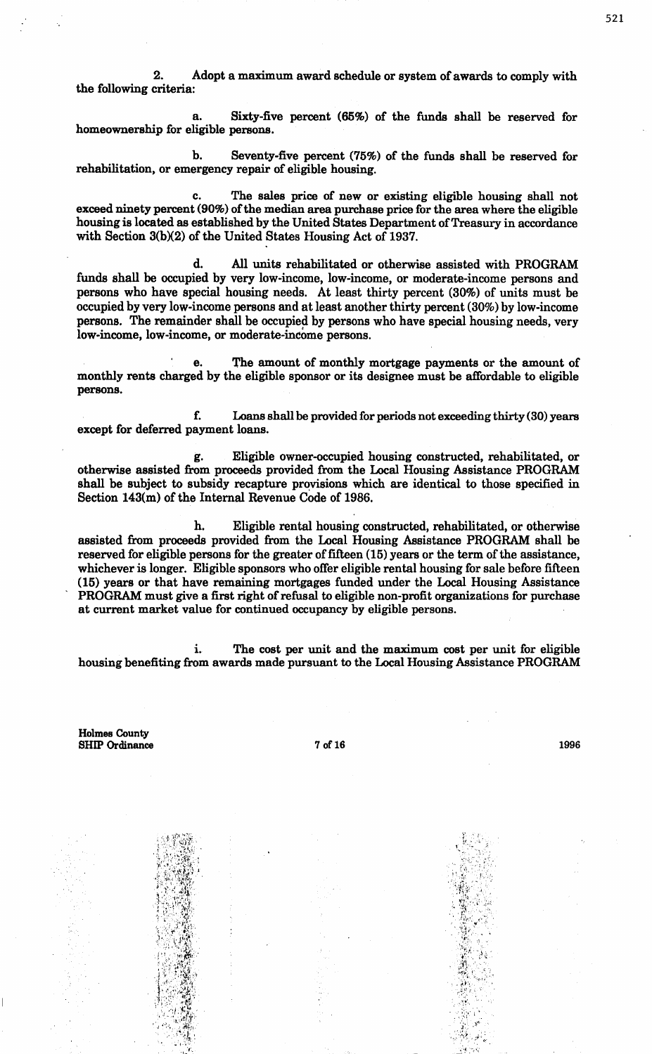2. Adopt a maximum award schedule or system of awards to comply with the following criteria:

a. Sixty-five percent (65%) of the funds shall be reserved for homeownership for eligible persons.

b. Seventy-five percent (75%) of the funds shall be reserved for rehabilitation, or emergency repair of eligible housing.

c. The sales price of new or existing eligible housing shall not exceed ninety percent (90%) of the median area purchase price for the area where the eligible housing is located as established by the United States Department of Treasury in accordance with Section 3(b)(2) of the United States Housing Act of 1937.

d. All units rehabilitated or otherwise assisted with PROGRAM funds shall be occupied by very low-income, low-income, or moderate-income persons and persons who have special housing needs. At least thirty percent (30%) of units must be occupied by very low-income persons and at least another thirty percent (30%) by low-income persons. The remainder shall be occupied by persons who have special housing needs, very low-income, low-income, or moderate-income persons.

e. The amount of monthly mortgage payments or the amount of monthly rents charged by the eligible sponsor or its designee must be affordable to eligible persons.

f. Loans shall be provided for periods not exceeding thirty (30) years except for deferred payment loans.

g. Eligible owner-occupied housing constructed, rehabilitated, or otherwise assisted from proceeds provided from the Local Housing Assistance PROGRAM shall be subject to subsidy recapture provisions which are identical to those specified in Section 143(m) of the Internal Revenue Code of 1986.

h. Eligible rental housing constructed, rehabilitated, or otherwise assisted from proceeds provided from the Local Housing Assistance PROGRAM shall be reserved for eligible persons for the greater of fifteen (15) years or the term of the assistance, whichever is longer. Eligible sponsors who offer eligible rental housing for sale before fifteen (15) years or that have remaining mortgages funded under the Local Housing Assistance PROGRAM must give a first right of refusal to eligible non-profit organizations for purchase at current market value for continued occupancy by eligible persons.

i. The cost per unit and the maximum cost per unit for eligible housing benefiting from awards made pursuant to the Local Housing Assistance PROGRAM

Holmes County SHIP Ordinance 7 of 16

1996

 $\mathcal{C} \times \mathbb{R}^n$ '•::<·~.~ '.:~ ., ~:··  $\ldots$  .

521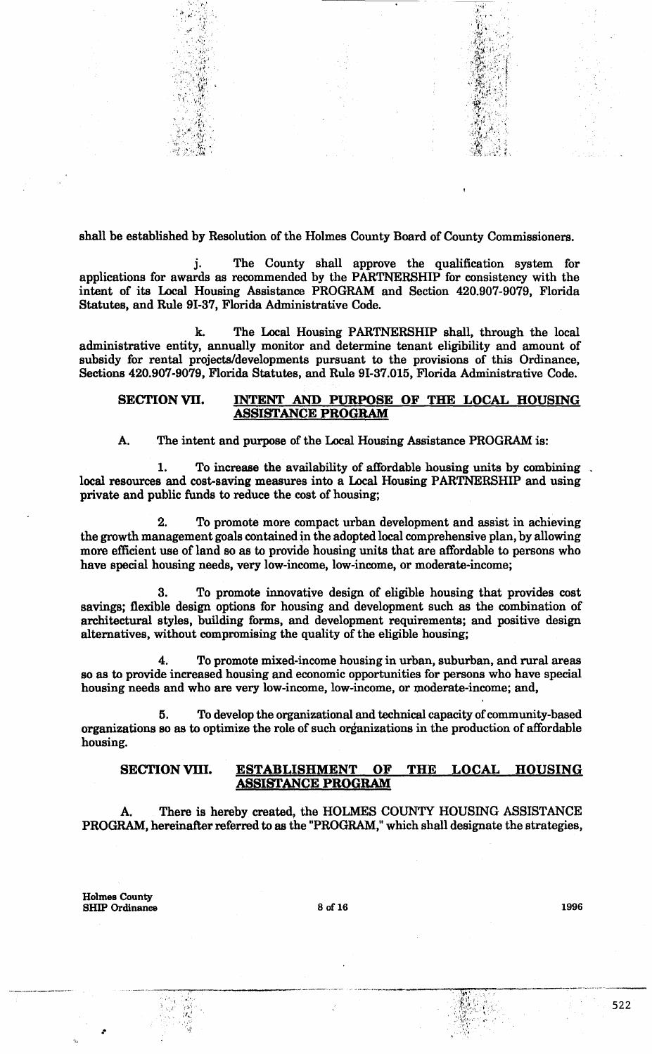shall be established by Resolution of the Holmes County Board of County Commissioners.

....... , ... • :..' *11:·,-.· ... ·:* . ~ .,. I •I"• ·, ":I..: . !.' '.·~> '.".'·,.' '1• , •• ,. •, .*. :* , .' ·:~."; :1

j. The County shall approve the qualification system for applications for awards as recommended by the PARTNERSHIP for consistency with the intent of its Local Housing Assistance PROGRAM and Section 420.907-9079, Florida Statutes, and Rule 91-37, Florida Administrative Code.

k. The Local Housing PARTNERSHIP shall, through the local administrative entity, annually monitor and determine tenant eligibility and amount of subsidy for rental projects/developments pursuant to the provisions of this Ordinance, Sections 420.907-9079, Florida Statutes, and Rule 91-37.015, Florida Administrative Code.

### SECTION VII. INTENT AND PURPOSE OF THE LOCAL HOUSING ASSISTANCE PROGRAM

#### A. The intent and purpose of the Local Housing Assistance PROGRAM is:

1. To increase the availability of affordable housing units by combining. local resources and cost-saving measures into a Local Housing PARTNERSHIP and using private and public funds to reduce the cost of housing;

2. To promote more compact urban development and assist in achieving the growth management goals contained in the adopted local comprehensive plan, by allowing more efficient use of land so as to provide housing units that are affordable to persons who have special housing needs, very low-income, low-income, or moderate-income;

3. To promote innovative design of eligible housing that provides cost savings; flexible design options for housing and development such as the combination of architectural styles, building forms, and development requirements; and positive design alternatives, without compromising the quality of the eligible housing;

4. To promote mixed-income housing in urban, suburban, and rural areas so as to provide increased housing and economic opportunities for persons who have special housing needs and who are very low-income, low-income, or moderate-income; and,

5. To develop the organizational and technical capacity of community-based organizations so as to optimize the role of such organizations in the production of affordable housing.

#### SECTION VIII. ESTABLISHMENT OF THE LOCAL HOUSING ASSISTANCE PROGRAM

There is hereby created, the HOLMES COUNTY HOUSING ASSISTANCE PROGRAM, hereinafter referred to as the "PROGRAM," which shall designate the strategies,

Holmes County SHIP Ordinance

> ·\ ·,,,· r:•·.  $,$  $. . . .$ ··.{'

.•

8 of 16 1996

·-----... ·-·---····--- ··'--···~·~\_ .. \_\_\_\_ \_..,..\_.,\_....,,...\_.. \_\_

 $\sim$   $\mathbb{E}[\mathbf{y}|\cdot]$  .  $\mathcal{L} = \left\{ \begin{matrix} 1 & 0 \\ 0 & 1 \end{matrix} \right\}$  $\mathbb{R}$  .  $\sim$   $\%$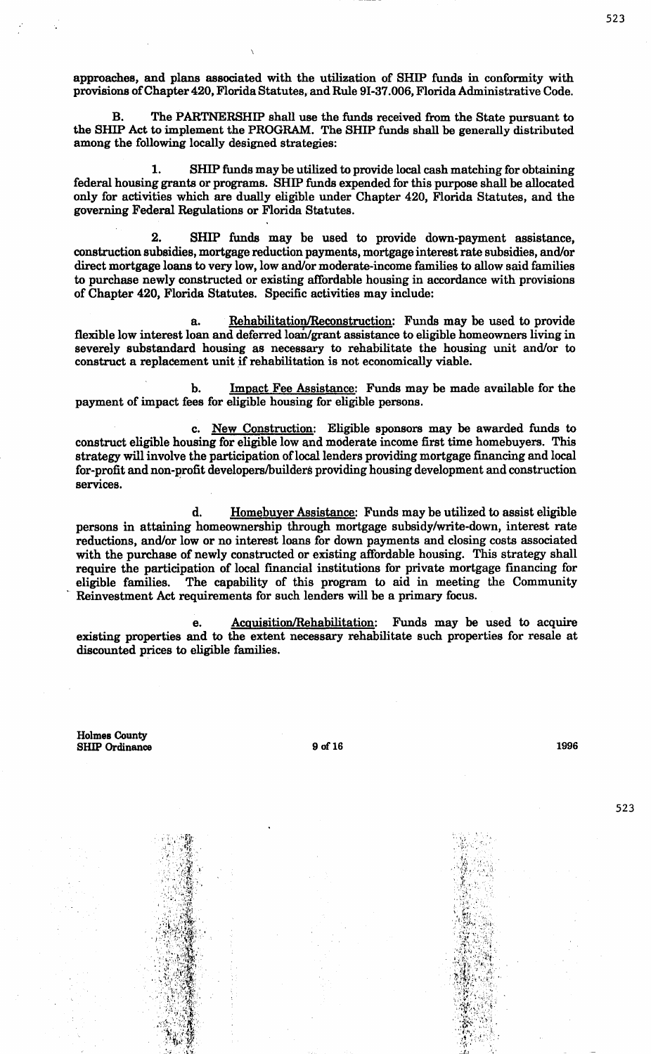approaches, and plans associated with the utilization of SHIP funds in conformity with provisions of Chapter 420, Florida Statutes, and Rule 9I-37.006, Florida Administrative Code.

B. The PARTNERSHIP shall use the funds received from the State pursuant to the SHIP Act to implement the PROGRAM. The SHIP funds shall be generally distributed among the following locally designed strategies:

1. SHIP funds may be utilized to provide local cash matching for obtaining federal housing grants or programs. SHIP funds expended for this purpose shall be allocated only for activities which are dually eligible under Chapter 420, Florida Statutes, and the governing Federal Regulations or Florida Statutes.

2. SHIP funds may be used to provide down-payment assistance, construction subsidies, mortgage reduction payments, mortgage interest rate subsidies, and/or direct mortgage loans to very low, low and/or moderate-income families to allow said families to purchase newly constructed or existing affordable housing in accordance with provisions of Chapter 420, Florida Statutes. Specific activities may include:

a. Rehabilitation/Reconstruction: Funds may be used to provide flexible low interest loan and deferred loan/grant assistance to eligible homeowners living in severely substandard housing as necessary to rehabilitate the housing unit and/or to construct a replacement unit if rehabilitation is not economically viable.

b. Impact Fee Assistance: Funds may be made available for the payment of impact fees for eligible housing for eligible persons.

c. New Construction: Eligible sponsors may be awarded funds to construct eligible housing for eligible low and moderate income first time homebuyers. This strategy will involve the participation of local lenders providing mortgage financing and local for-profit and non-profit developers/builders providing housing development and construction services.

d. Homebuyer Assistance: Funds may be utilized to assist eligible persons in attaining homeownership through mortgage subsidy/write-down, interest rate reductions, and/or low or no interest loans for down payments and closing costs associated with the purchase of newly constructed or existing affordable housing. This strategy shall require the participation of local financial institutions for private mortgage financing for eligible families. The capability of this program to aid in meeting the Community Reinvestment Act requirements for such lenders will be a primary focus.

e. Acquisition/Rehabilitation: Funds may be used to acquire existing properties and to the extent necessary rehabilitate such properties for resale at discounted prices to eligible families.

Holmes County SHIP Ordinance

 $\cdot$  Fig.

': ,,\_ :\~')-'

•''),'. " *;;4* " 0),L}\ '~··· *i·* ' .''•• {~·· 'V,' . . )t'\·  $\mathcal{L}=\{1,2,3\}$ 

9 of 16 1996

523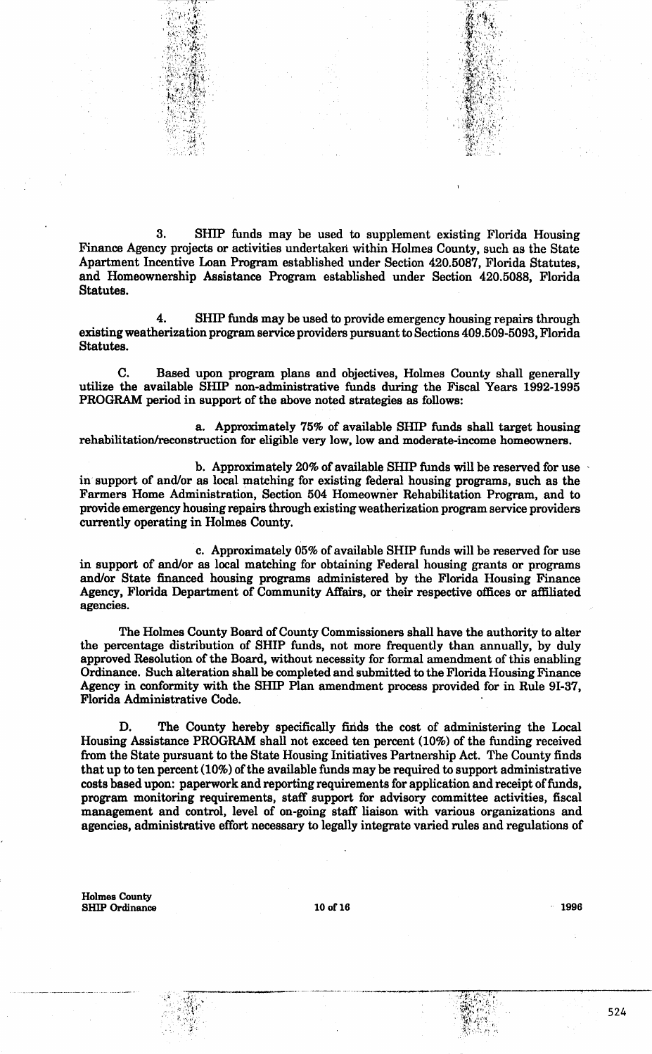3. SHIP funds may be used to supplement existing Florida Housing Finance Agency projects or activities undertaken within Holmes County, such as the State Apartment Incentive Loan Program established under Section 420.5087, Florida Statutes, and Homeownership Assistance Program established under Section 420.5088, Florida Statutes.

 $\sim 32$ 

4. SHIP funds may be used to provide emergency housing repairs through existing weatherization program service providers pursuant to Sections 409.509-5093, Florida Statutes.

C. Based upon program plans and objectives, Holmes County shall generally utilize the available SHIP non-administrative funds during the Fiscal Years 1992-1995 PROGRAM period in support of the above noted strategies as follows:

a. Approximately 75% of available SHIP funds shall target housing rehabilitation/reconstruction for eligible very low, low and moderate-income homeowners.

b. Approximately 20% of available SHIP funds will be reserved for use in support of and/or as local matching for existing federal housing programs, such as the Farmers Home Administration, Section 504 Homeowner Rehabilitation Program, and to provide emergency housing repairs through existing weatherization program service providers currently operating in Holmes County.

c. Approximately 05% of available SHIP funds will be reserved for use in support of and/or as local matching for obtaining Federal housing grants or programs and/or State financed housing programs administered by the Florida Housing Finance Agency, Florida Department of Community Affairs, or their respective offices or affiliated agencies.

The Holmes County Board of County Commissioners shall have the authority to alter the percentage distribution of SHIP funds, not more frequently than annually, by duly approved Resolution of the Board, without necessity for formal amendment of this enabling Ordinance. Such alteration shall be completed and submitted to the Florida Housing Finance Agency in conformity with the SHIP Plan amendment process provided for in Rule 91-37, Florida Administrative Code.

D. The County hereby specifically finds the cost of administering the Local Housing Assistance PROGRAM shall not exceed ten percent (10%) of the funding received from the State pursuant to the State Housing Initiatives Partnership Act. The County finds that up to ten percent (10%) of the available funds may be required to support administrative costs based upon: paperwork and reporting requirements for application and receipt of funds, program monitoring requirements, staff support for advisory committee activities, fiscal management and control, level of on-going staff liaison with various organizations and agencies, administrative effort necessary to legally integrate varied rules and regulations of

Holmes County SHIP Ordinance 10 of 16 and 10 of 16 and 1996 and 1996 and 1996 and 1996 and 1996 and 1996 and 1996 and 1996 and 1996 and 1996 and 1996 and 1996 and 1996 and 1996 and 1996 and 1996 and 1996 and 1996 and 1997 and 1997 and 1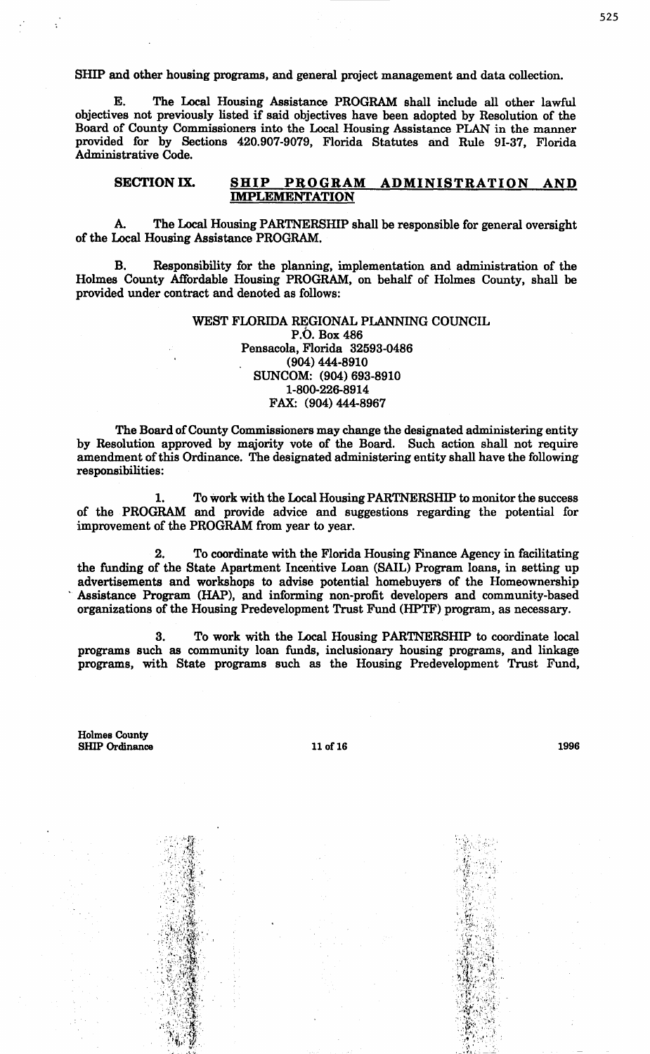SHIP and other housing programs, and general project management and data collection.

E. The Local Housing Assistance PROGRAM shall include all other lawful objectives not previously listed if said objectives have been adopted by Resolution of the Board of County Commissioners into the Local Housing Assistance PLAN in the manner provided for by Sections 420.907-9079, Florida Statutes and Rule 91-37, Florida Administrative Code.

### SECTION IX. SHIP PROGRAM ADMINISTRATION AND IMPLEMENTATION

A. The Local Housing PARTNERSHIP shall be responsible for general oversight of the Local Housing Assistance PROGRAM.

B. Responsibility for the planning, implementation and administration of the Holmes County Affordable Housing PROGRAM, on behalf of Holmes County, shall be provided under contract and denoted as follows:

## WEST FLORIDA REGIONAL PLANNING COUNCIL P.O. Box486 Pensacola, Florida 32593-0486 (904) 444-8910 SUNCOM: (904) 693-8910 1-800-226-8914 FAX: (904) 444-8967

The Board of County Commissioners may change the designated administering entity by Resolution approved by majority vote of the Board. Such action shall not require amendment of this Ordinance. The designated administering entity shall have the following responsibilities:

1. To work with the Local Housing PARTNERSHIP to monitor the success of the PROGRAM and provide advice and suggestions regarding the potential for improvement of the PROGRAM from year to year.

2. To coordinate with the Florida Housing Finance Agency in facilitating the funding of the State Apartment Incentive Loan (SAIL) Program loans, in setting up advertisements and workshops to advise potential homebuyers of the Homeownership Assistance Program (HAP), and informing non-profit developers and community-based organizations of the Housing Predevelopment Trust Fund (HPTF) program, as necessary.

3. To work with the Local Housing PARTNERSHIP to coordinate local programs such as community loan funds, inclusionary housing programs, and linkage programs, with State programs such as the Housing Predevelopment Trust Fund,

Holmes County SHIP Ordinance

 $\mathbb{R}^n$  .  $\mathbb{R}^n$ 

:: 19

 $\sim$  if  $\sim$   $\sim$ .!.·'.'.

11 of 16

1996



 $\sim$  to  $\sim$   $\sim$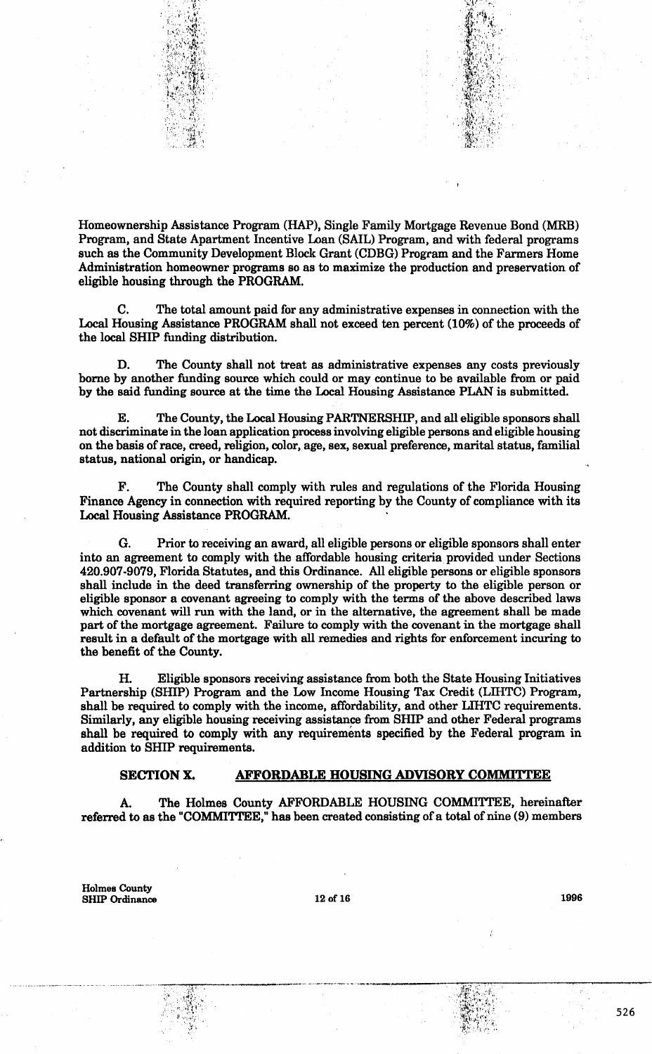

C. The total amount paid for any administrative expenses in connection with the Local Housing Assistance PROGRAM shall not exceed ten percent (10%) of the proceeds of the local SHIP funding distribution.

The County shall not treat as administrative expenses any costs previously borne by another funding source which could or may continue to be available from or paid by the said funding source at the time the Local Housing Assistance PLAN is submitted.

The County, the Local Housing PARTNERSHIP, and all eligible sponsors shall not discriminate in the loan application process involving eligible persons and eligible housing on the basis of race, creed, religion, color, age, sex, sexual preference, marital status, familial status, national origin, or handicap.

F. The County shall comply with rules and regulations of the Florida Housing Finance Agency in connection with required reporting by the County of compliance with its Local Housing Assistance PROGRAM.

G. Prior to receiving an award, all eligible persons or eligible sponsors shall enter into an agreement to comply with the affordable housing criteria provided under Sections 420.907-9079, Florida Statutes, and this Ordinance. All eligible persons or eligible sponsors shall include in the deed transferring ownership of the property to the eligible person or eligible sponsor a covenant agreeing to comply with the terms of the above described laws which covenant will run with the land, or in the alternative, the agreement shall be made part of the mortgage agreement. Failure to comply with the covenant in the mortgage shall result in a default of the mortgage with all remedies and rights for enforcement incuring to the benefit of the County.

H. Eligible sponsors receiving assistance from both the State Housing Initiatives Partnership (SHIP) Program and the Low Income Housing Tax Credit (LIHTC) Program, shall be required to comply with the income, affordability, and other LIHTC requirements. Similarly, any eligible housing receiving assistance from SHIP and other Federal programs shall be required to comply with any requirements specified by the Federal program in addition to SHIP requirements.

### SECTION X. AFFORDABLE HOUSING ADVISORY COMMITTEE

A. The Holmes County AFFORDABLE HOUSING COMMITTEE, hereinafter referred to as the "COMMITTEE," has been created consisting of a total of nine (9) members

Holmes County  $SHIP$  Ordinance  $12$  of 16 1996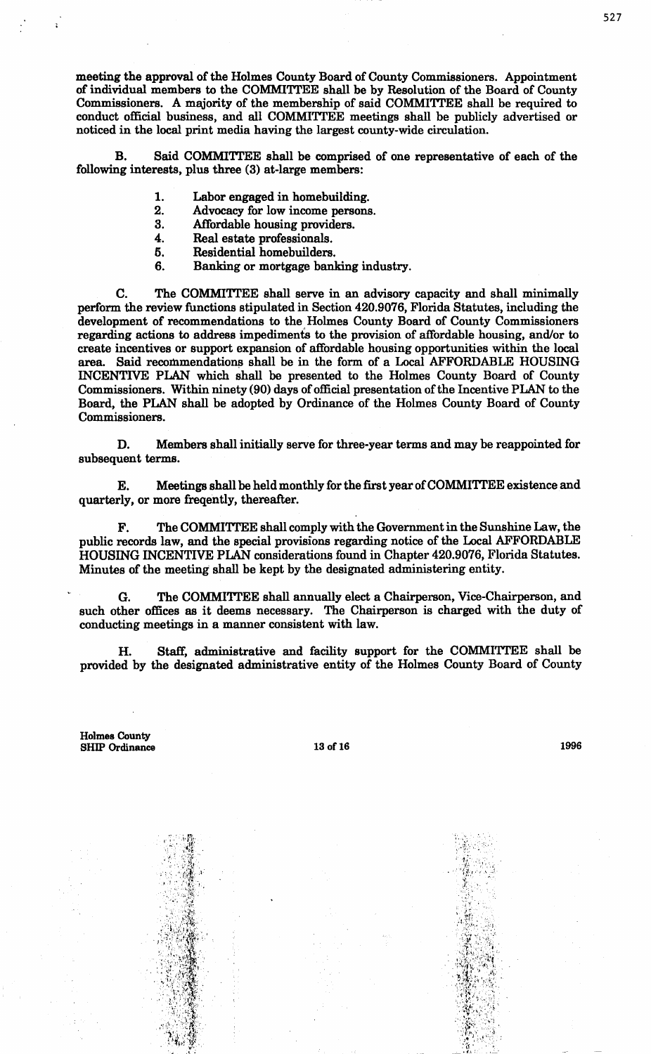meeting the approval of the Holmes County Board of County Commissioners. Appointment of individual members to the COMMITTEE shall be by Resolution of the Board of County Commissioners. A majority of the membership of said COMMITTEE shall be required to conduct official business, and all COMMITTEE meetings shall be publicly advertised or noticed in the local print media having the largest county-wide circulation.

B. Said COMMITTEE shall be comprised of one representative of each of the following interests, plus three (3) at-large members:

- 1. Labor engaged in homebuilding.<br>2. Advocacy for low income persons
- 2. Advocacy for low income persons.<br>3. Affordable housing providers.
- 3. Affordable housing providers.<br>4. Real estate professionals.
- 4. Real estate professionals.<br>5. Residential homebuilders.
- 5. Residential homebuilders.
- 6. Banking or mortgage banking industry.

C. The COMMITTEE shall serve in an advisory capacity and shall minimally perform the review functions stipulated in Section 420.9076, Florida Statutes, including the development of recommendations to the Holmes County Board of County Commissioners regarding actions to address impediments to the provision of affordable housing, and/or to create incentives or support expansion of affordable housing opportunities within the local area. Said recommendations shall be in the form of a Local AFFORDABLE HOUSING INCENTIVE PLAN which shall be presented to the Holmes County Board of County Commissioners. Within ninety (90) days of official presentation of the Incentive PLAN to the Board, the PLAN shall be adopted by Ordinance of the Holmes County Board of County Commissioners.

D. Members shall initially serve for three-year terms and may be reappointed for subsequent terms.

E. Meetings shall be held monthly for the first year of COMMITTEE existence and quarterly, or more freqently, thereafter.

The COMMITTEE shall comply with the Government in the Sunshine Law, the public records law, and the special provisions regarding notice of the Local AFFORDABLE HOUSING INCENTIVE PLAN considerations found in Chapter 420.9076, Florida Statutes. Minutes of the meeting shall be kept by the designated administering entity.

G. The COMMITTEE shall annually elect a Chairperson, Vice-Chairperson, and such other offices as it deems necessary. The Chairperson is charged with the duty of conducting meetings in a manner consistent with law.

H. Staff, administrative and facility support for the COMMITTEE shall be provided by the designated administrative entity of the Holmes County Board of County

Holmes County SHIP Ordinance

> $\ldots$  ,  $\mathbf{r}_t$ i.•;~r  $\mathcal{L}(\mathcal{L})$

 $: \mathbb{R}^n$ ' *-* '*·*  $\mathbb{R}^n \times \mathbb{R}^n$ 

 $A\in\mathcal{A}$  . .. ·' VJ,! *l."* r ,•,' 13 of 16 1996

 $^{\circ}$  :  $^{\circ}$ 

 $\mathscr{L}_{\mathcal{F}}$  , ...

.  $\mathbf{q}$  .  $\mathcal{R}$  –  $\mathcal{L}$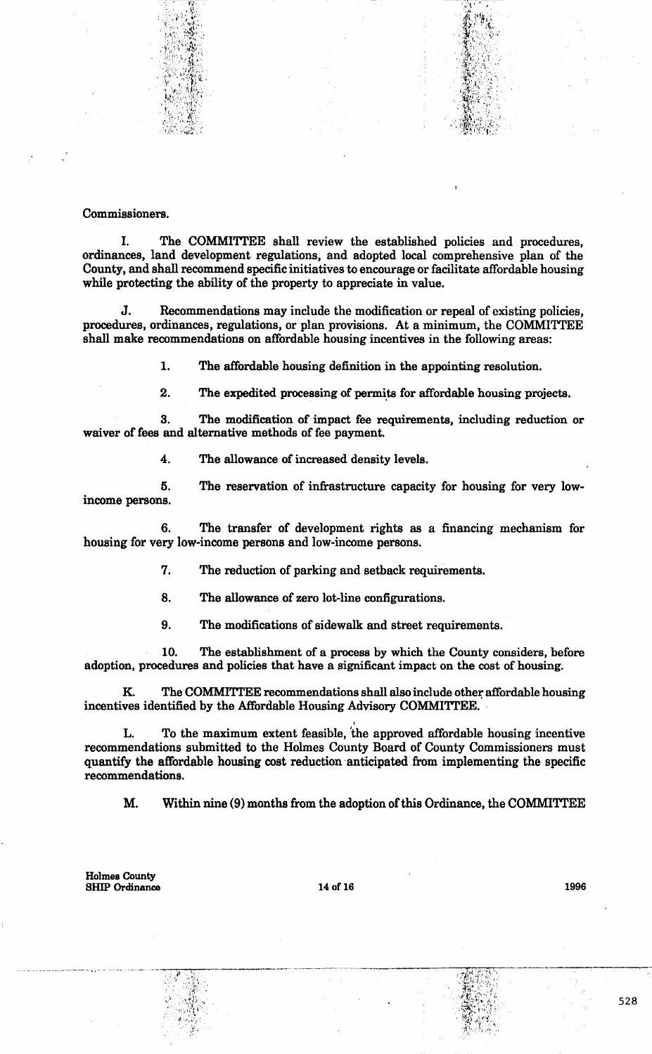

### Commissioners.

I. The COMMITTEE shall review the established policies and procedures, ordinances, land development regulations, and adopted local comprehensive plan of the County, and shall recommend specific initiatives to encourage or facilitate affordable housing while protecting the ability of the property to appreciate in value.

J. Recommendations may include the modification or repeal of existing policies, procedures, ordinances, regulations, or plan provisions. At a minimum, the COMMITTEE shall make recommendations on affordable housing incentives in the following areas:

1. The affordable housing definition in the appointing resolution.

2. The expedited processing of permits for affordable housing projects.

3. The modification of impact fee requirements, including reduction or waiver of fees and alternative methods of fee payment.

4. The allowance of increased density levels.

5. The reservation of infrastructure capacity for housing for very lowincome persons.

The transfer of development rights as a financing mechanism for housing for very low-income persons and low-income persons.

7. The reduction of parking and setback requirements.

8. The allowance of zero lot-line configurations.

9. The modifications of sidewalk and street requirements.

10. The establishment of a process by which the County considers, before adoption, procedures and policies that have a significant impact on the cost of housing.

K. The COMMITTEE recommendations shall also include other affordable housing incentives identified by the Affordable Housing Advisory COMMITTEE.

L. To the maximum extent feasible, 'the approved affordable housing incentive recommendations submitted to the Holmes County Board of County Commissioners must quantify the affordable housing cost reduction anticipated from implementing the specific recommendations.

M. Within nine (9) months from the adoption of this Ordinance, the COMMITTEE

..

Holmes County SHIP Ordinance 14 of 16 1996

\_\_ ...,,..,......,,.....,...,.-.--------·-·

····~.~\_l\_•· .. :.i\_'.\_{~1(  $i \in \mathbb{N}$ 

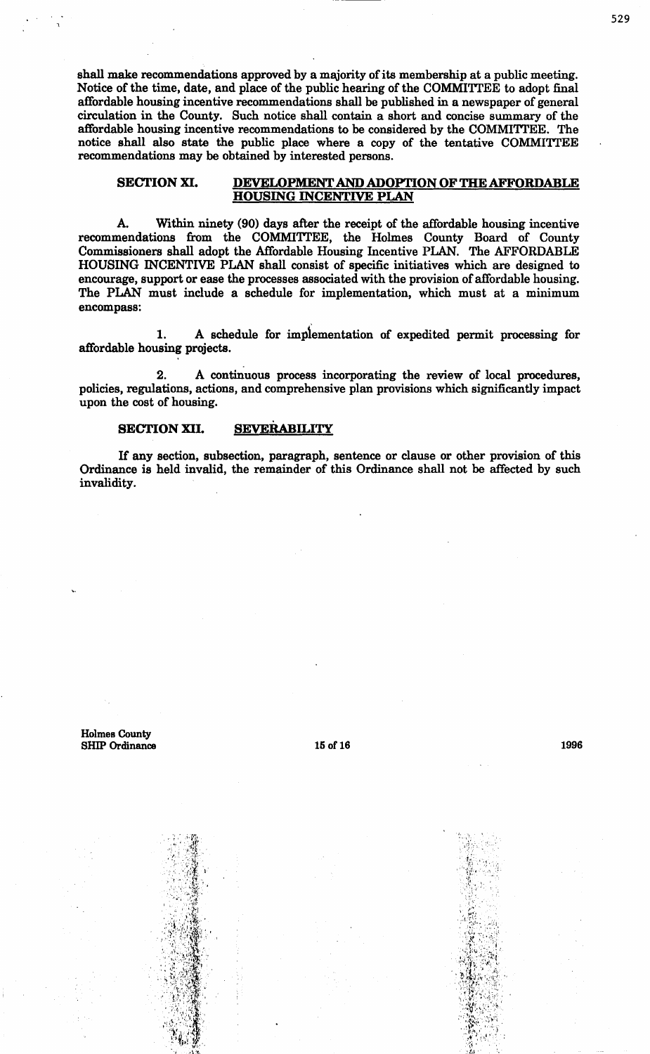shall make recommendations approved by a majority of its membership at a public meeting. Notice of the time, date, and place of the public hearing of the COMMITTEE to adopt final affordable housing incentive recommendations shall be published in a newspaper of general circulation in the County. Such notice shall contain a short and concise summary of the affordable housing incentive recommendations to be considered by the COMMITTEE. The notice shall also state the public place where a copy of the tentative COMMITTEE recommendations may be obtained by interested persons.

#### SECTION XI. DEVELOPMENT AND ADOPTION OF THE AFFORDABLE HOUSING INCENTIVE PLAN

A. Within ninety (90) days after the receipt of the affordable housing incentive recommendations from the COMMITTEE, the Holmes County Board of County Commissioners shall adopt the Affordable Housing Incentive PLAN. The AFFORDABLE HOUSING INCENTIVE PLAN shall consist of specific initiatives which are designed to encourage, support or ease the processes associated with the provision of affordable housing. The PLAN must include a schedule for implementation, which must at a minimum encompass:

1. A schedule for impfementation of expedited permit processing for affordable housing projects.

2. A continuous process incorporating the review of local procedures, policies, regulations, actions, and comprehensive plan provisions which significantly impact upon the cost of housing.

### SECTION XII. SEVERABILITY

If any section, subsection, paragraph, sentence or clause or other provision of this Ordinance is held invalid, the remainder of this Ordinance shall not be affected by such invalidity.

Holmes County SHIP Ordinance 15 of 16 1996